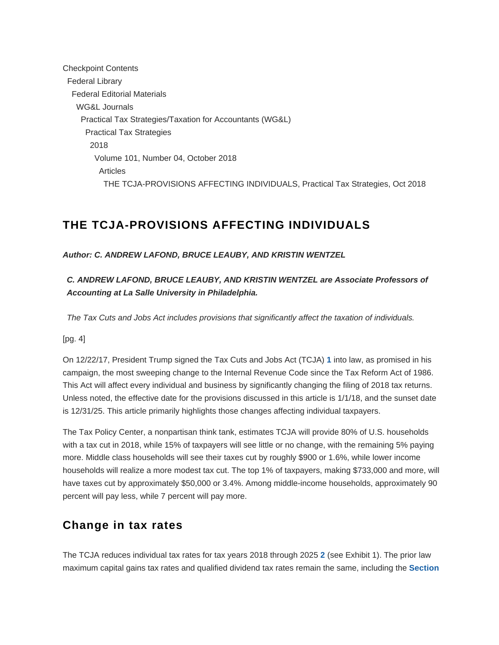Checkpoint Contents Federal Library Federal Editorial Materials WG&L Journals Practical Tax Strategies/Taxation for Accountants (WG&L) Practical Tax Strategies 2018 Volume 101, Number 04, October 2018 Articles THE TCJA-PROVISIONS AFFECTING INDIVIDUALS, Practical Tax Strategies, Oct 2018

# **THE TCJA-PROVISIONS AFFECTING INDIVIDUALS**

#### **Author: C. ANDREW LAFOND, BRUCE LEAUBY, AND KRISTIN WENTZEL**

**C. ANDREW LAFOND, BRUCE LEAUBY, AND KRISTIN WENTZEL are Associate Professors of Accounting at La Salle University in Philadelphia.**

The Tax Cuts and Jobs Act includes provisions that significantly affect the taxation of individuals.

[pg. 4]

<span id="page-0-0"></span>On 12/22/17, President Trump signed the Tax Cuts and Jobs Act (TCJA) **[1](#page-6-0)** into law, as promised in his campaign, the most sweeping change to the Internal Revenue Code since the Tax Reform Act of 1986. This Act will affect every individual and business by significantly changing the filing of 2018 tax returns. Unless noted, the effective date for the provisions discussed in this article is 1/1/18, and the sunset date is 12/31/25. This article primarily highlights those changes affecting individual taxpayers.

The Tax Policy Center, a nonpartisan think tank, estimates TCJA will provide 80% of U.S. households with a tax cut in 2018, while 15% of taxpayers will see little or no change, with the remaining 5% paying more. Middle class households will see their taxes cut by roughly \$900 or 1.6%, while lower income households will realize a more modest tax cut. The top 1% of taxpayers, making \$733,000 and more, will have taxes cut by approximately \$50,000 or 3.4%. Among middle-income households, approximately 90 percent will pay less, while 7 percent will pay more.

# **Change in tax rates**

<span id="page-0-1"></span>The TCJA reduces individual tax rates for tax years 2018 through 2025 **[2](#page-6-1)** (see Exhibit 1). The prior law maximum capital gains tax rates and qualified dividend tax rates remain the same, including the **Section**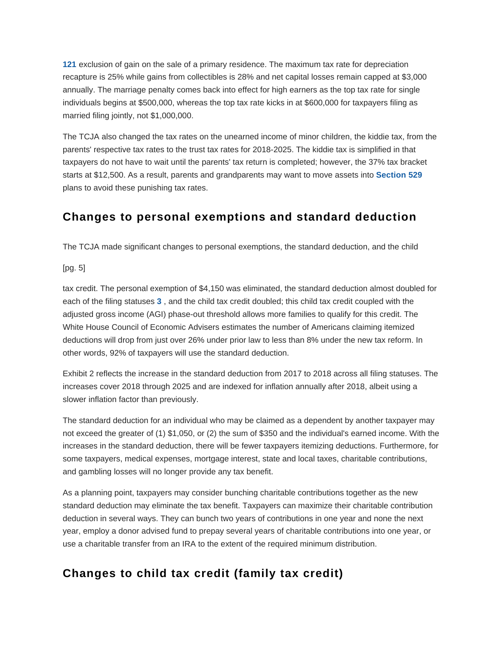**[121](https://checkpoint.riag.com/app/find?begParm=y&app.version=18.09&dbName=TCODE&linkType=docloc&locId=121&permaId=i8d542c4f43d2e9dd97bcaba00c747176&tagName=SEC&endParm=y)** exclusion of gain on the sale of a primary residence. The maximum tax rate for depreciation recapture is 25% while gains from collectibles is 28% and net capital losses remain capped at \$3,000 annually. The marriage penalty comes back into effect for high earners as the top tax rate for single individuals begins at \$500,000, whereas the top tax rate kicks in at \$600,000 for taxpayers filing as married filing jointly, not \$1,000,000.

The TCJA also changed the tax rates on the unearned income of minor children, the kiddie tax, from the parents' respective tax rates to the trust tax rates for 2018-2025. The kiddie tax is simplified in that taxpayers do not have to wait until the parents' tax return is completed; however, the 37% tax bracket starts at \$12,500. As a result, parents and grandparents may want to move assets into **[Section 529](https://checkpoint.riag.com/app/find?begParm=y&app.version=18.09&dbName=TCODE&linkType=docloc&locId=529&permaId=id70c27bcf2f1c0fcbd14dc3c28e9654f&tagName=SEC&endParm=y)** plans to avoid these punishing tax rates.

## **Changes to personal exemptions and standard deduction**

The TCJA made significant changes to personal exemptions, the standard deduction, and the child

[pg. 5]

<span id="page-1-0"></span>tax credit. The personal exemption of \$4,150 was eliminated, the standard deduction almost doubled for each of the filing statuses **[3](#page-6-2)** , and the child tax credit doubled; this child tax credit coupled with the adjusted gross income (AGI) phase-out threshold allows more families to qualify for this credit. The White House Council of Economic Advisers estimates the number of Americans claiming itemized deductions will drop from just over 26% under prior law to less than 8% under the new tax reform. In other words, 92% of taxpayers will use the standard deduction.

Exhibit 2 reflects the increase in the standard deduction from 2017 to 2018 across all filing statuses. The increases cover 2018 through 2025 and are indexed for inflation annually after 2018, albeit using a slower inflation factor than previously.

The standard deduction for an individual who may be claimed as a dependent by another taxpayer may not exceed the greater of (1) \$1,050, or (2) the sum of \$350 and the individual's earned income. With the increases in the standard deduction, there will be fewer taxpayers itemizing deductions. Furthermore, for some taxpayers, medical expenses, mortgage interest, state and local taxes, charitable contributions, and gambling losses will no longer provide any tax benefit.

As a planning point, taxpayers may consider bunching charitable contributions together as the new standard deduction may eliminate the tax benefit. Taxpayers can maximize their charitable contribution deduction in several ways. They can bunch two years of contributions in one year and none the next year, employ a donor advised fund to prepay several years of charitable contributions into one year, or use a charitable transfer from an IRA to the extent of the required minimum distribution.

# **Changes to child tax credit (family tax credit)**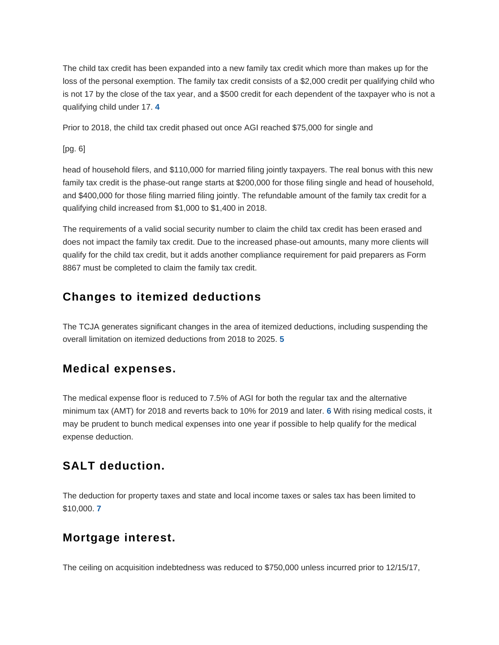The child tax credit has been expanded into a new family tax credit which more than makes up for the loss of the personal exemption. The family tax credit consists of a \$2,000 credit per qualifying child who is not 17 by the close of the tax year, and a \$500 credit for each dependent of the taxpayer who is not a qualifying child under 17. **[4](#page-6-3)**

<span id="page-2-0"></span>Prior to 2018, the child tax credit phased out once AGI reached \$75,000 for single and

[pg. 6]

head of household filers, and \$110,000 for married filing jointly taxpayers. The real bonus with this new family tax credit is the phase-out range starts at \$200,000 for those filing single and head of household, and \$400,000 for those filing married filing jointly. The refundable amount of the family tax credit for a qualifying child increased from \$1,000 to \$1,400 in 2018.

The requirements of a valid social security number to claim the child tax credit has been erased and does not impact the family tax credit. Due to the increased phase-out amounts, many more clients will qualify for the child tax credit, but it adds another compliance requirement for paid preparers as Form 8867 must be completed to claim the family tax credit.

# **Changes to itemized deductions**

<span id="page-2-1"></span>The TCJA generates significant changes in the area of itemized deductions, including suspending the overall limitation on itemized deductions from 2018 to 2025. **[5](#page-6-4)**

### **Medical expenses.**

<span id="page-2-2"></span>The medical expense floor is reduced to 7.5% of AGI for both the regular tax and the alternative minimum tax (AMT) for 2018 and reverts back to 10% for 2019 and later. **[6](#page-6-5)** With rising medical costs, it may be prudent to bunch medical expenses into one year if possible to help qualify for the medical expense deduction.

# **SALT deduction.**

<span id="page-2-3"></span>The deduction for property taxes and state and local income taxes or sales tax has been limited to \$10,000. **[7](#page-6-6)**

## **Mortgage interest.**

The ceiling on acquisition indebtedness was reduced to \$750,000 unless incurred prior to 12/15/17,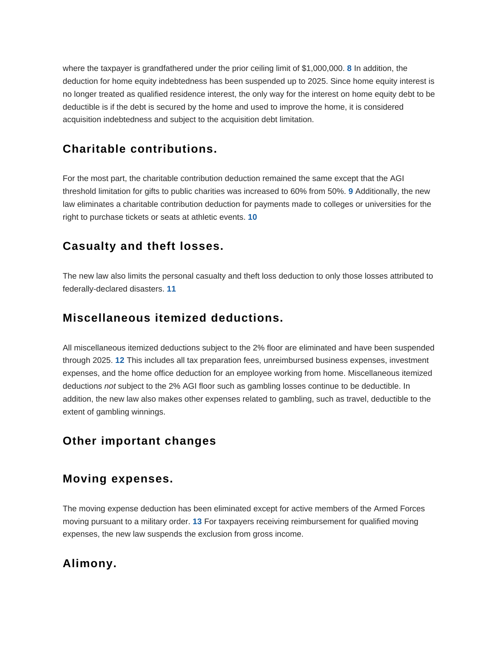<span id="page-3-0"></span>where the taxpayer is grandfathered under the prior ceiling limit of \$1,000,000. **[8](#page-7-0)** In addition, the deduction for home equity indebtedness has been suspended up to 2025. Since home equity interest is no longer treated as qualified residence interest, the only way for the interest on home equity debt to be deductible is if the debt is secured by the home and used to improve the home, it is considered acquisition indebtedness and subject to the acquisition debt limitation.

## **Charitable contributions.**

<span id="page-3-2"></span><span id="page-3-1"></span>For the most part, the charitable contribution deduction remained the same except that the AGI threshold limitation for gifts to public charities was increased to 60% from 50%. **[9](#page-7-1)** Additionally, the new law eliminates a charitable contribution deduction for payments made to colleges or universities for the right to purchase tickets or seats at athletic events. **[10](#page-7-2)**

### **Casualty and theft losses.**

<span id="page-3-3"></span>The new law also limits the personal casualty and theft loss deduction to only those losses attributed to federally-declared disasters. **[11](#page-7-3)**

### **Miscellaneous itemized deductions.**

<span id="page-3-4"></span>All miscellaneous itemized deductions subject to the 2% floor are eliminated and have been suspended through 2025. **[12](#page-7-4)** This includes all tax preparation fees, unreimbursed business expenses, investment expenses, and the home office deduction for an employee working from home. Miscellaneous itemized deductions not subject to the 2% AGI floor such as gambling losses continue to be deductible. In addition, the new law also makes other expenses related to gambling, such as travel, deductible to the extent of gambling winnings.

## **Other important changes**

#### **Moving expenses.**

<span id="page-3-5"></span>The moving expense deduction has been eliminated except for active members of the Armed Forces moving pursuant to a military order. **[13](#page-7-5)** For taxpayers receiving reimbursement for qualified moving expenses, the new law suspends the exclusion from gross income.

## **Alimony.**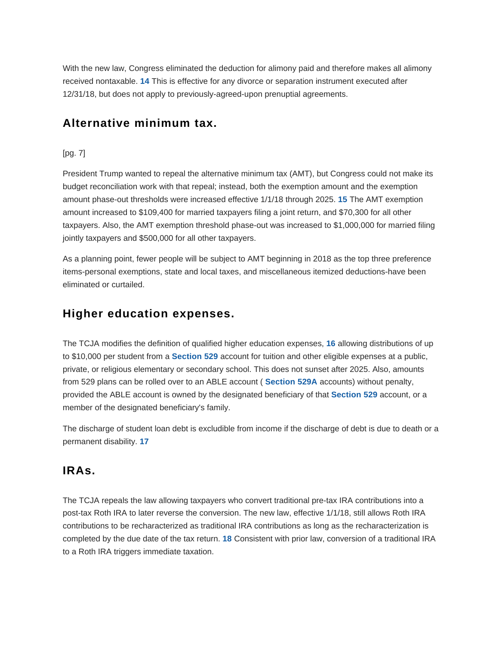<span id="page-4-0"></span>With the new law, Congress eliminated the deduction for alimony paid and therefore makes all alimony received nontaxable. **[14](#page-7-6)** This is effective for any divorce or separation instrument executed after 12/31/18, but does not apply to previously-agreed-upon prenuptial agreements.

## **Alternative minimum tax.**

#### [pg. 7]

<span id="page-4-1"></span>President Trump wanted to repeal the alternative minimum tax (AMT), but Congress could not make its budget reconciliation work with that repeal; instead, both the exemption amount and the exemption amount phase-out thresholds were increased effective 1/1/18 through 2025. **[15](#page-7-7)** The AMT exemption amount increased to \$109,400 for married taxpayers filing a joint return, and \$70,300 for all other taxpayers. Also, the AMT exemption threshold phase-out was increased to \$1,000,000 for married filing jointly taxpayers and \$500,000 for all other taxpayers.

As a planning point, fewer people will be subject to AMT beginning in 2018 as the top three preference items-personal exemptions, state and local taxes, and miscellaneous itemized deductions-have been eliminated or curtailed.

### **Higher education expenses.**

<span id="page-4-2"></span>The TCJA modifies the definition of qualified higher education expenses, **[16](#page-7-8)** allowing distributions of up to \$10,000 per student from a **[Section 529](https://checkpoint.riag.com/app/find?begParm=y&app.version=18.09&dbName=TCODE&linkType=docloc&locId=529&permaId=id70c27bcf2f1c0fcbd14dc3c28e9654f&tagName=SEC&endParm=y)** account for tuition and other eligible expenses at a public, private, or religious elementary or secondary school. This does not sunset after 2025. Also, amounts from 529 plans can be rolled over to an ABLE account ( **[Section 529A](https://checkpoint.riag.com/app/find?begParm=y&app.version=18.09&dbName=TCODE&linkType=docloc&locId=26uscas529a&permaId=icb619e80d8bf4e00f50389996be472df&tagName=SEC&endParm=y)** accounts) without penalty, provided the ABLE account is owned by the designated beneficiary of that **[Section 529](https://checkpoint.riag.com/app/find?begParm=y&app.version=18.09&dbName=TCODE&linkType=docloc&locId=529&permaId=id70c27bcf2f1c0fcbd14dc3c28e9654f&tagName=SEC&endParm=y)** account, or a member of the designated beneficiary's family.

<span id="page-4-3"></span>The discharge of student loan debt is excludible from income if the discharge of debt is due to death or a permanent disability. **[17](#page-7-9)**

#### **IRAs.**

<span id="page-4-4"></span>The TCJA repeals the law allowing taxpayers who convert traditional pre-tax IRA contributions into a post-tax Roth IRA to later reverse the conversion. The new law, effective 1/1/18, still allows Roth IRA contributions to be recharacterized as traditional IRA contributions as long as the recharacterization is completed by the due date of the tax return. **[18](#page-7-10)** Consistent with prior law, conversion of a traditional IRA to a Roth IRA triggers immediate taxation.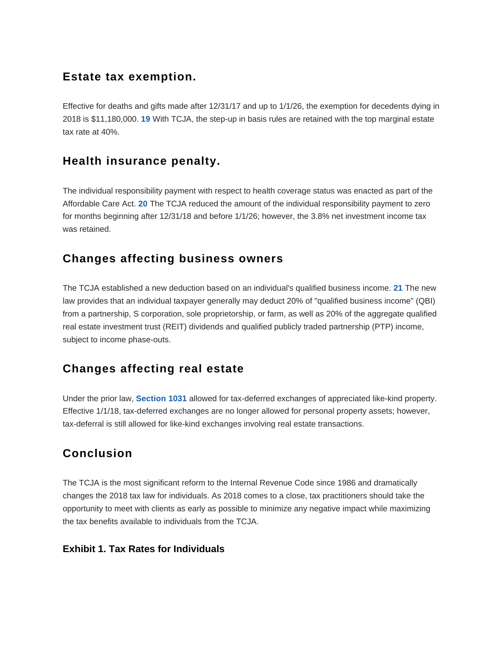## **Estate tax exemption.**

<span id="page-5-0"></span>Effective for deaths and gifts made after 12/31/17 and up to 1/1/26, the exemption for decedents dying in 2018 is \$11,180,000. **[19](#page-7-11)** With TCJA, the step-up in basis rules are retained with the top marginal estate tax rate at 40%.

# **Health insurance penalty.**

<span id="page-5-1"></span>The individual responsibility payment with respect to health coverage status was enacted as part of the Affordable Care Act. **[20](#page-7-12)** The TCJA reduced the amount of the individual responsibility payment to zero for months beginning after 12/31/18 and before 1/1/26; however, the 3.8% net investment income tax was retained.

# **Changes affecting business owners**

<span id="page-5-2"></span>The TCJA established a new deduction based on an individual's qualified business income. **[21](#page-7-13)** The new law provides that an individual taxpayer generally may deduct 20% of "qualified business income" (QBI) from a partnership, S corporation, sole proprietorship, or farm, as well as 20% of the aggregate qualified real estate investment trust (REIT) dividends and qualified publicly traded partnership (PTP) income, subject to income phase-outs.

# **Changes affecting real estate**

Under the prior law, **[Section 1031](https://checkpoint.riag.com/app/find?begParm=y&app.version=18.09&dbName=TCODE&linkType=docloc&locId=1031&permaId=ieeb5b84219d711dcb1a9c7f8ee2eaa77&tagName=SEC&endParm=y)** allowed for tax-deferred exchanges of appreciated like-kind property. Effective 1/1/18, tax-deferred exchanges are no longer allowed for personal property assets; however, tax-deferral is still allowed for like-kind exchanges involving real estate transactions.

# **Conclusion**

The TCJA is the most significant reform to the Internal Revenue Code since 1986 and dramatically changes the 2018 tax law for individuals. As 2018 comes to a close, tax practitioners should take the opportunity to meet with clients as early as possible to minimize any negative impact while maximizing the tax benefits available to individuals from the TCJA.

#### **Exhibit 1. Tax Rates for Individuals**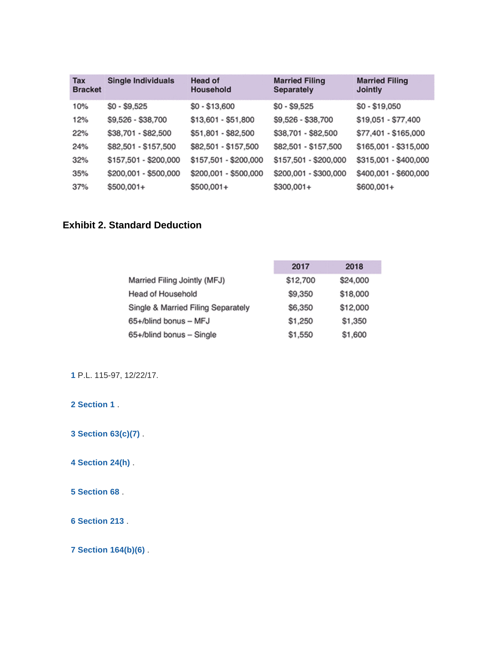| Tax<br><b>Bracket</b> | <b>Single Individuals</b> | <b>Head of</b><br>Household | <b>Married Filing</b><br>Separately | <b>Married Filing</b><br>Jointly |
|-----------------------|---------------------------|-----------------------------|-------------------------------------|----------------------------------|
| 10%                   | \$0 - \$9,525             | $$0 - $13,600$              | $$0 - $9,525$                       | $$0 - $19,050$                   |
| 12%                   | \$9,526 - \$38,700        | \$13,601 - \$51,800         | \$9,526 - \$38,700                  | \$19,051 - \$77,400              |
| 22%                   | \$38,701 - \$82,500       | \$51,801 - \$82,500         | \$38,701 - \$82,500                 | \$77,401 - \$165,000             |
| 24%                   | \$82,501 - \$157,500      | \$82,501 - \$157,500        | \$82,501 - \$157,500                | \$165,001 - \$315,000            |
| 32%                   | \$157,501 - \$200,000     | \$157,501 - \$200,000       | \$157,501 - \$200,000               | \$315,001 - \$400,000            |
| 35%                   | \$200,001 - \$500,000     | \$200,001 - \$500,000       | \$200,001 - \$300,000               | \$400,001 - \$600,000            |
| 37%                   | \$500,001+                | \$500,001+                  | \$300,001+                          | \$600,001+                       |

### **Exhibit 2. Standard Deduction**

|                                    | 2017     | 2018     |
|------------------------------------|----------|----------|
| Married Filing Jointly (MFJ)       | \$12,700 | \$24,000 |
| Head of Household                  | \$9,350  | \$18,000 |
| Single & Married Filing Separately | \$6,350  | \$12,000 |
| 65+/blind bonus - MFJ              | \$1,250  | \$1,350  |
| 65+/blind bonus - Single           | \$1,550  | \$1,600  |

<span id="page-6-0"></span>P.L. 115-97, 12/22/17.

<span id="page-6-1"></span> **[Section 1](https://checkpoint.riag.com/app/find?begParm=y&app.version=18.09&dbName=TCODE&linkType=docloc&locId=26uscas1&permaId=i6720810019d711dcb1a9c7f8ee2eaa77&tagName=SEC&endParm=y)** .

<span id="page-6-2"></span> **[Section 63\(c\)\(7\)](https://checkpoint.riag.com/app/find?begParm=y&app.version=18.09&dbName=TCODE&linkType=docloc&locId=26uscas63%28c%29%287%29&permaId=i519621faa31e43dbdb94b7f44044ce8c&tagName=PARA&endParm=y)** .

<span id="page-6-3"></span> **[Section 24\(h\)](https://checkpoint.riag.com/app/find?begParm=y&app.version=18.09&dbName=TCODE&linkType=docloc&locId=26uscas24%28h%29&permaId=i5eb79a18f22c6a0285d5f7e40d871c70&tagName=SBSEC&endParm=y)** .

<span id="page-6-4"></span> **[Section 68](https://checkpoint.riag.com/app/find?begParm=y&app.version=18.09&dbName=TCODE&linkType=docloc&locId=68&permaId=i7d00ed0c19d711dcb1a9c7f8ee2eaa77&tagName=SEC&endParm=y)** .

<span id="page-6-5"></span> **[Section 213](https://checkpoint.riag.com/app/find?begParm=y&app.version=18.09&dbName=TCODE&linkType=docloc&locId=213&permaId=i98d3dbd419d711dcb1a9c7f8ee2eaa77&tagName=SEC&endParm=y)** .

<span id="page-6-6"></span> **[Section 164\(b\)\(6\)](https://checkpoint.riag.com/app/find?begParm=y&app.version=18.09&dbName=TCODE&linkType=docloc&locId=164%28b%29%286%29&permaId=i8e81a55819d711dcb1a9c7f8ee2eaa77&tagName=PARA&endParm=y)** .